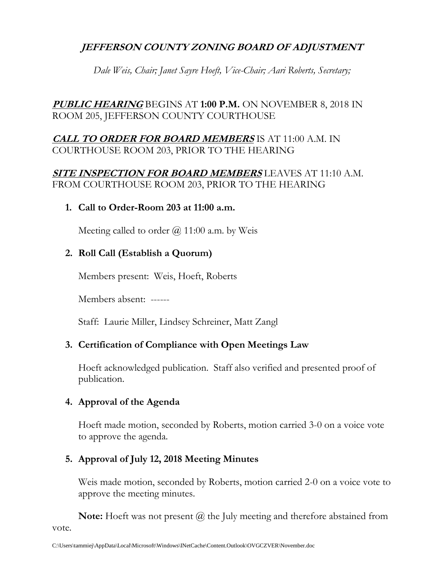# **JEFFERSON COUNTY ZONING BOARD OF ADJUSTMENT**

*Dale Weis, Chair; Janet Sayre Hoeft, Vice-Chair; Aari Roberts, Secretary;*

# **PUBLIC HEARING** BEGINS AT **1:00 P.M.** ON NOVEMBER 8, 2018 IN ROOM 205, JEFFERSON COUNTY COURTHOUSE

# **CALL TO ORDER FOR BOARD MEMBERS** IS AT 11:00 A.M. IN COURTHOUSE ROOM 203, PRIOR TO THE HEARING

# **SITE INSPECTION FOR BOARD MEMBERS** LEAVES AT 11:10 A.M. FROM COURTHOUSE ROOM 203, PRIOR TO THE HEARING

## **1. Call to Order-Room 203 at 11:00 a.m.**

Meeting called to order  $\omega$  11:00 a.m. by Weis

# **2. Roll Call (Establish a Quorum)**

Members present: Weis, Hoeft, Roberts

Members absent: ------

Staff: Laurie Miller, Lindsey Schreiner, Matt Zangl

## **3. Certification of Compliance with Open Meetings Law**

Hoeft acknowledged publication. Staff also verified and presented proof of publication.

## **4. Approval of the Agenda**

Hoeft made motion, seconded by Roberts, motion carried 3-0 on a voice vote to approve the agenda.

# **5. Approval of July 12, 2018 Meeting Minutes**

Weis made motion, seconded by Roberts, motion carried 2-0 on a voice vote to approve the meeting minutes.

**Note:** Hoeft was not present  $\omega$  the July meeting and therefore abstained from vote.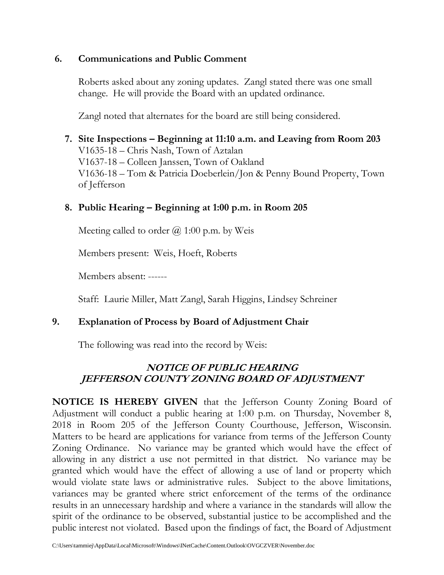## **6. Communications and Public Comment**

Roberts asked about any zoning updates. Zangl stated there was one small change. He will provide the Board with an updated ordinance.

Zangl noted that alternates for the board are still being considered.

# **7. Site Inspections – Beginning at 11:10 a.m. and Leaving from Room 203** V1635-18 – Chris Nash, Town of Aztalan V1637-18 – Colleen Janssen, Town of Oakland V1636-18 – Tom & Patricia Doeberlein/Jon & Penny Bound Property, Town of Jefferson

# **8. Public Hearing – Beginning at 1:00 p.m. in Room 205**

Meeting called to order  $(a)$  1:00 p.m. by Weis

Members present: Weis, Hoeft, Roberts

Members absent: ------

Staff: Laurie Miller, Matt Zangl, Sarah Higgins, Lindsey Schreiner

# **9. Explanation of Process by Board of Adjustment Chair**

The following was read into the record by Weis:

# **NOTICE OF PUBLIC HEARING JEFFERSON COUNTY ZONING BOARD OF ADJUSTMENT**

**NOTICE IS HEREBY GIVEN** that the Jefferson County Zoning Board of Adjustment will conduct a public hearing at 1:00 p.m. on Thursday, November 8, 2018 in Room 205 of the Jefferson County Courthouse, Jefferson, Wisconsin. Matters to be heard are applications for variance from terms of the Jefferson County Zoning Ordinance. No variance may be granted which would have the effect of allowing in any district a use not permitted in that district. No variance may be granted which would have the effect of allowing a use of land or property which would violate state laws or administrative rules. Subject to the above limitations, variances may be granted where strict enforcement of the terms of the ordinance results in an unnecessary hardship and where a variance in the standards will allow the spirit of the ordinance to be observed, substantial justice to be accomplished and the public interest not violated. Based upon the findings of fact, the Board of Adjustment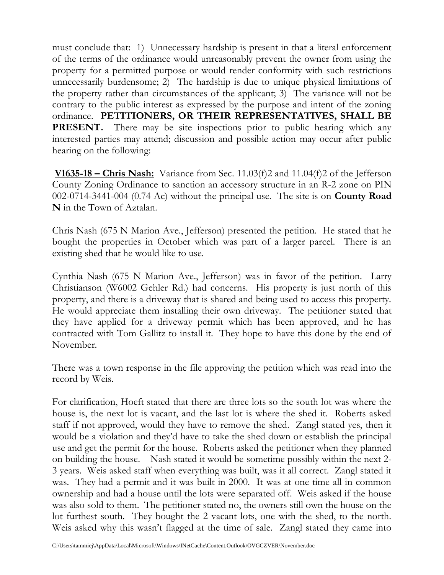must conclude that: 1) Unnecessary hardship is present in that a literal enforcement of the terms of the ordinance would unreasonably prevent the owner from using the property for a permitted purpose or would render conformity with such restrictions unnecessarily burdensome; 2) The hardship is due to unique physical limitations of the property rather than circumstances of the applicant; 3) The variance will not be contrary to the public interest as expressed by the purpose and intent of the zoning ordinance. **PETITIONERS, OR THEIR REPRESENTATIVES, SHALL BE PRESENT.** There may be site inspections prior to public hearing which any interested parties may attend; discussion and possible action may occur after public hearing on the following:

**V1635-18 – Chris Nash:** Variance from Sec. 11.03(f)2 and 11.04(f)2 of the Jefferson County Zoning Ordinance to sanction an accessory structure in an R-2 zone on PIN 002-0714-3441-004 (0.74 Ac) without the principal use. The site is on **County Road N** in the Town of Aztalan.

Chris Nash (675 N Marion Ave., Jefferson) presented the petition. He stated that he bought the properties in October which was part of a larger parcel. There is an existing shed that he would like to use.

Cynthia Nash (675 N Marion Ave., Jefferson) was in favor of the petition. Larry Christianson (W6002 Gehler Rd.) had concerns. His property is just north of this property, and there is a driveway that is shared and being used to access this property. He would appreciate them installing their own driveway. The petitioner stated that they have applied for a driveway permit which has been approved, and he has contracted with Tom Gallitz to install it. They hope to have this done by the end of November.

There was a town response in the file approving the petition which was read into the record by Weis.

For clarification, Hoeft stated that there are three lots so the south lot was where the house is, the next lot is vacant, and the last lot is where the shed it. Roberts asked staff if not approved, would they have to remove the shed. Zangl stated yes, then it would be a violation and they'd have to take the shed down or establish the principal use and get the permit for the house. Roberts asked the petitioner when they planned on building the house. Nash stated it would be sometime possibly within the next 2- 3 years. Weis asked staff when everything was built, was it all correct. Zangl stated it was. They had a permit and it was built in 2000. It was at one time all in common ownership and had a house until the lots were separated off. Weis asked if the house was also sold to them. The petitioner stated no, the owners still own the house on the lot furthest south. They bought the 2 vacant lots, one with the shed, to the north. Weis asked why this wasn't flagged at the time of sale. Zangl stated they came into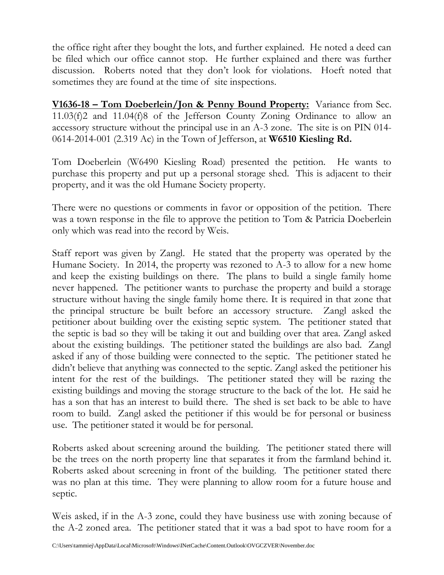the office right after they bought the lots, and further explained. He noted a deed can be filed which our office cannot stop. He further explained and there was further discussion. Roberts noted that they don't look for violations. Hoeft noted that sometimes they are found at the time of site inspections.

**V1636-18 – Tom Doeberlein/Jon & Penny Bound Property:** Variance from Sec. 11.03(f)2 and 11.04(f)8 of the Jefferson County Zoning Ordinance to allow an accessory structure without the principal use in an A-3 zone. The site is on PIN 014- 0614-2014-001 (2.319 Ac) in the Town of Jefferson, at **W6510 Kiesling Rd.**

Tom Doeberlein (W6490 Kiesling Road) presented the petition. He wants to purchase this property and put up a personal storage shed. This is adjacent to their property, and it was the old Humane Society property.

There were no questions or comments in favor or opposition of the petition. There was a town response in the file to approve the petition to Tom & Patricia Doeberlein only which was read into the record by Weis.

Staff report was given by Zangl. He stated that the property was operated by the Humane Society. In 2014, the property was rezoned to A-3 to allow for a new home and keep the existing buildings on there. The plans to build a single family home never happened. The petitioner wants to purchase the property and build a storage structure without having the single family home there. It is required in that zone that the principal structure be built before an accessory structure. Zangl asked the petitioner about building over the existing septic system. The petitioner stated that the septic is bad so they will be taking it out and building over that area. Zangl asked about the existing buildings. The petitioner stated the buildings are also bad. Zangl asked if any of those building were connected to the septic. The petitioner stated he didn't believe that anything was connected to the septic. Zangl asked the petitioner his intent for the rest of the buildings. The petitioner stated they will be razing the existing buildings and moving the storage structure to the back of the lot. He said he has a son that has an interest to build there. The shed is set back to be able to have room to build. Zangl asked the petitioner if this would be for personal or business use. The petitioner stated it would be for personal.

Roberts asked about screening around the building. The petitioner stated there will be the trees on the north property line that separates it from the farmland behind it. Roberts asked about screening in front of the building. The petitioner stated there was no plan at this time. They were planning to allow room for a future house and septic.

Weis asked, if in the A-3 zone, could they have business use with zoning because of the A-2 zoned area. The petitioner stated that it was a bad spot to have room for a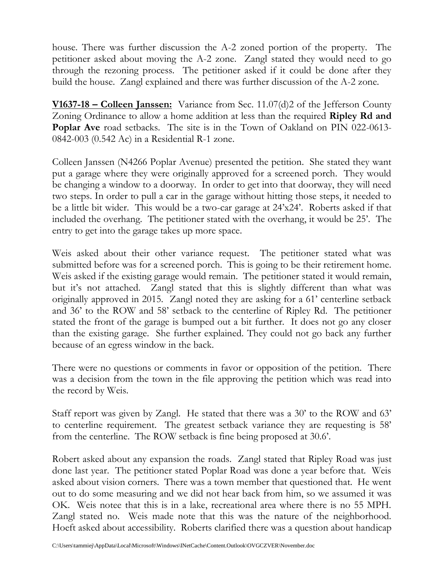house. There was further discussion the A-2 zoned portion of the property. The petitioner asked about moving the A-2 zone. Zangl stated they would need to go through the rezoning process. The petitioner asked if it could be done after they build the house. Zangl explained and there was further discussion of the A-2 zone.

**V1637-18 – Colleen Janssen:** Variance from Sec. 11.07(d)2 of the Jefferson County Zoning Ordinance to allow a home addition at less than the required **Ripley Rd and Poplar Ave** road setbacks. The site is in the Town of Oakland on PIN 022-0613-0842-003 (0.542 Ac) in a Residential R-1 zone.

Colleen Janssen (N4266 Poplar Avenue) presented the petition. She stated they want put a garage where they were originally approved for a screened porch. They would be changing a window to a doorway. In order to get into that doorway, they will need two steps. In order to pull a car in the garage without hitting those steps, it needed to be a little bit wider. This would be a two-car garage at 24'x24'. Roberts asked if that included the overhang. The petitioner stated with the overhang, it would be 25'. The entry to get into the garage takes up more space.

Weis asked about their other variance request. The petitioner stated what was submitted before was for a screened porch. This is going to be their retirement home. Weis asked if the existing garage would remain. The petitioner stated it would remain, but it's not attached. Zangl stated that this is slightly different than what was originally approved in 2015. Zangl noted they are asking for a 61' centerline setback and 36' to the ROW and 58' setback to the centerline of Ripley Rd. The petitioner stated the front of the garage is bumped out a bit further. It does not go any closer than the existing garage. She further explained. They could not go back any further because of an egress window in the back.

There were no questions or comments in favor or opposition of the petition. There was a decision from the town in the file approving the petition which was read into the record by Weis.

Staff report was given by Zangl. He stated that there was a 30' to the ROW and 63' to centerline requirement. The greatest setback variance they are requesting is 58' from the centerline. The ROW setback is fine being proposed at 30.6'.

Robert asked about any expansion the roads. Zangl stated that Ripley Road was just done last year. The petitioner stated Poplar Road was done a year before that. Weis asked about vision corners. There was a town member that questioned that. He went out to do some measuring and we did not hear back from him, so we assumed it was OK. Weis notee that this is in a lake, recreational area where there is no 55 MPH. Zangl stated no. Weis made note that this was the nature of the neighborhood. Hoeft asked about accessibility. Roberts clarified there was a question about handicap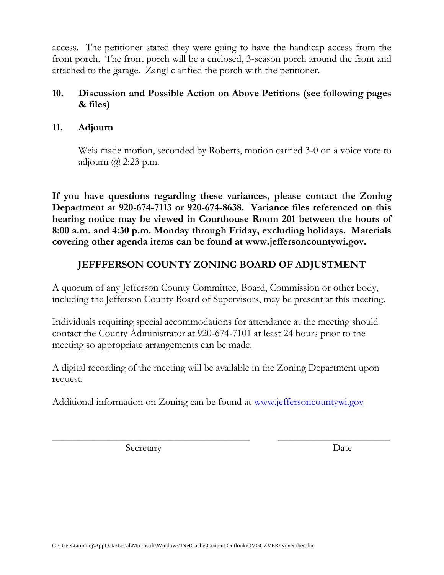access. The petitioner stated they were going to have the handicap access from the front porch. The front porch will be a enclosed, 3-season porch around the front and attached to the garage. Zangl clarified the porch with the petitioner.

## **10. Discussion and Possible Action on Above Petitions (see following pages & files)**

## **11. Adjourn**

Weis made motion, seconded by Roberts, motion carried 3-0 on a voice vote to adjourn  $\omega$  2:23 p.m.

**If you have questions regarding these variances, please contact the Zoning Department at 920-674-7113 or 920-674-8638. Variance files referenced on this hearing notice may be viewed in Courthouse Room 201 between the hours of 8:00 a.m. and 4:30 p.m. Monday through Friday, excluding holidays. Materials covering other agenda items can be found at www.jeffersoncountywi.gov.**

# **JEFFFERSON COUNTY ZONING BOARD OF ADJUSTMENT**

A quorum of any Jefferson County Committee, Board, Commission or other body, including the Jefferson County Board of Supervisors, may be present at this meeting.

Individuals requiring special accommodations for attendance at the meeting should contact the County Administrator at 920-674-7101 at least 24 hours prior to the meeting so appropriate arrangements can be made.

A digital recording of the meeting will be available in the Zoning Department upon request.

\_\_\_\_\_\_\_\_\_\_\_\_\_\_\_\_\_\_\_\_\_\_\_\_\_\_\_\_\_\_\_\_\_\_\_\_\_\_\_ \_\_\_\_\_\_\_\_\_\_\_\_\_\_\_\_\_\_\_\_\_\_

Additional information on Zoning can be found at [www.jeffersoncountywi.gov](http://www.jeffersoncountywi.gov/)

Secretary Date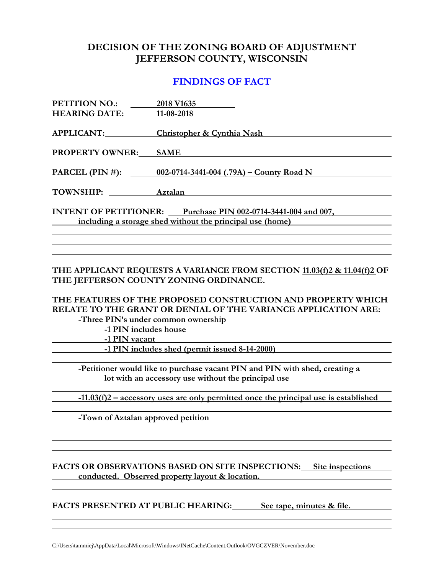## **DECISION OF THE ZONING BOARD OF ADJUSTMENT JEFFERSON COUNTY, WISCONSIN**

### **FINDINGS OF FACT**

| <b>PETITION NO.:</b>                                          | 2018 V1635                                                 |  |
|---------------------------------------------------------------|------------------------------------------------------------|--|
| <b>HEARING DATE:</b>                                          | 11-08-2018                                                 |  |
| <b>APPLICANT:</b>                                             | <b>Christopher &amp; Cynthia Nash</b>                      |  |
| <b>PROPERTY OWNER:</b>                                        | <b>SAME</b>                                                |  |
|                                                               | PARCEL (PIN #): $002-0714-3441-004$ (.79A) – County Road N |  |
|                                                               |                                                            |  |
| <b>TOWNSHIP:</b>                                              | Aztalan                                                    |  |
| INTENT OF PETITIONER: Purchase PIN 002-0714-3441-004 and 007, |                                                            |  |
| including a storage shed without the principal use (home)     |                                                            |  |
|                                                               |                                                            |  |

### **THE APPLICANT REQUESTS A VARIANCE FROM SECTION 11.03(f)2 & 11.04(f)2 OF THE JEFFERSON COUNTY ZONING ORDINANCE.**

**THE FEATURES OF THE PROPOSED CONSTRUCTION AND PROPERTY WHICH RELATE TO THE GRANT OR DENIAL OF THE VARIANCE APPLICATION ARE:**

**-Three PIN's under common ownership**

**-1 PIN includes house**

**-1 PIN vacant**

**-1 PIN includes shed (permit issued 8-14-2000)**

**-Petitioner would like to purchase vacant PIN and PIN with shed, creating a lot with an accessory use without the principal use** 

**-11.03(f)2 – accessory uses are only permitted once the principal use is established**

**-Town of Aztalan approved petition**

### **FACTS OR OBSERVATIONS BASED ON SITE INSPECTIONS: Site inspections conducted. Observed property layout & location.**

**FACTS PRESENTED AT PUBLIC HEARING: See tape, minutes & file.**

C:\Users\tammiej\AppData\Local\Microsoft\Windows\INetCache\Content.Outlook\OVGCZVER\November.doc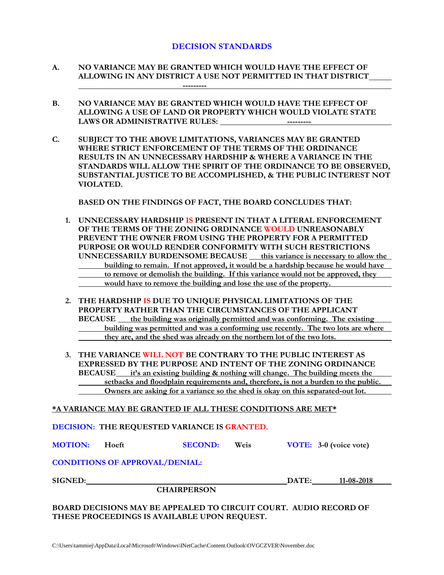### **DECISION STANDARDS**

- **A. NO VARIANCE MAY BE GRANTED WHICH WOULD HAVE THE EFFECT OF ALLOWING IN ANY DISTRICT A USE NOT PERMITTED IN THAT DISTRICT ---------**
- **B. NO VARIANCE MAY BE GRANTED WHICH WOULD HAVE THE EFFECT OF ALLOWING A USE OF LAND OR PROPERTY WHICH WOULD VIOLATE STATE**  LAWS OR ADMINISTRATIVE RULES: **-----------** ----------
- **C. SUBJECT TO THE ABOVE LIMITATIONS, VARIANCES MAY BE GRANTED WHERE STRICT ENFORCEMENT OF THE TERMS OF THE ORDINANCE RESULTS IN AN UNNECESSARY HARDSHIP & WHERE A VARIANCE IN THE STANDARDS WILL ALLOW THE SPIRIT OF THE ORDINANCE TO BE OBSERVED, SUBSTANTIAL JUSTICE TO BE ACCOMPLISHED, & THE PUBLIC INTEREST NOT VIOLATED.**

**BASED ON THE FINDINGS OF FACT, THE BOARD CONCLUDES THAT:**

- **1. UNNECESSARY HARDSHIP IS PRESENT IN THAT A LITERAL ENFORCEMENT OF THE TERMS OF THE ZONING ORDINANCE WOULD UNREASONABLY PREVENT THE OWNER FROM USING THE PROPERTY FOR A PERMITTED PURPOSE OR WOULD RENDER CONFORMITY WITH SUCH RESTRICTIONS UNNECESSARILY BURDENSOME BECAUSE this variance is necessary to allow the building to remain. If not approved, it would be a hardship because he would have to remove or demolish the building. If this variance would not be approved, they would have to remove the building and lose the use of the property.**
- **2. THE HARDSHIP IS DUE TO UNIQUE PHYSICAL LIMITATIONS OF THE PROPERTY RATHER THAN THE CIRCUMSTANCES OF THE APPLICANT BECAUSE** the building was originally permitted and was conforming. The existing **building was permitted and was a conforming use recently. The two lots are where they are, and the shed was already on the northern lot of the two lots.**
- **3. THE VARIANCE WILL NOT BE CONTRARY TO THE PUBLIC INTEREST AS EXPRESSED BY THE PURPOSE AND INTENT OF THE ZONING ORDINANCE BECAUSE it's an existing building & nothing will change. The building meets the setbacks and floodplain requirements and, therefore, is not a burden to the public. Owners are asking for a variance so the shed is okay on this separated-out lot.**

#### **\*A VARIANCE MAY BE GRANTED IF ALL THESE CONDITIONS ARE MET\***

**DECISION: THE REQUESTED VARIANCE IS GRANTED.**

**MOTION: Hoeft SECOND: Weis VOTE: 3-0 (voice vote)**

### **CONDITIONS OF APPROVAL/DENIAL:**

**CHAIRPERSON**

**SIGNED: DATE: 11-08-2018**

**BOARD DECISIONS MAY BE APPEALED TO CIRCUIT COURT. AUDIO RECORD OF THESE PROCEEDINGS IS AVAILABLE UPON REQUEST.**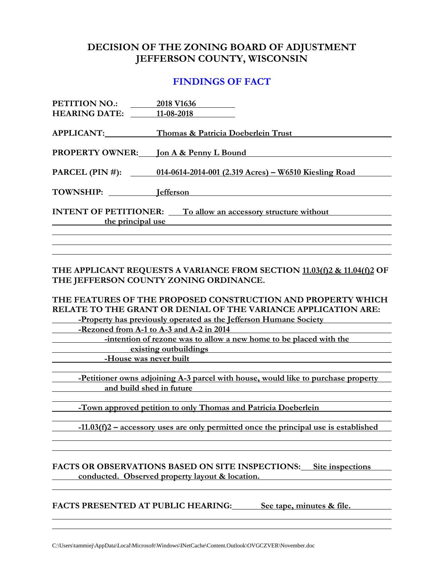## **DECISION OF THE ZONING BOARD OF ADJUSTMENT JEFFERSON COUNTY, WISCONSIN**

### **FINDINGS OF FACT**

| <b>PETITION NO.:</b><br><b>HEARING DATE:</b>                                              | 2018 V1636<br>11-08-2018                                              |  |
|-------------------------------------------------------------------------------------------|-----------------------------------------------------------------------|--|
| APPLICANT:                                                                                | Thomas & Patricia Doeberlein Trust                                    |  |
| <b>PROPERTY OWNER:</b>                                                                    | Jon A & Penny L Bound                                                 |  |
|                                                                                           | PARCEL (PIN #): 014-0614-2014-001 (2.319 Acres) – W6510 Kiesling Road |  |
| <b>TOWNSHIP:</b>                                                                          | <b>I</b> efferson                                                     |  |
| <b>INTENT OF PETITIONER:</b> To allow an accessory structure without<br>the principal use |                                                                       |  |
|                                                                                           |                                                                       |  |

### **THE APPLICANT REQUESTS A VARIANCE FROM SECTION 11.03(f)2 & 11.04(f)2 OF THE JEFFERSON COUNTY ZONING ORDINANCE.**

**THE FEATURES OF THE PROPOSED CONSTRUCTION AND PROPERTY WHICH RELATE TO THE GRANT OR DENIAL OF THE VARIANCE APPLICATION ARE:**

**-Property has previously operated as the Jefferson Humane Society**

**-Rezoned from A-1 to A-3 and A-2 in 2014**

**-intention of rezone was to allow a new home to be placed with the existing outbuildings**

**-House was never built**

**-Petitioner owns adjoining A-3 parcel with house, would like to purchase property and build shed in future**

**-Town approved petition to only Thomas and Patricia Doeberlein**

**-11.03(f)2 – accessory uses are only permitted once the principal use is established**

### **FACTS OR OBSERVATIONS BASED ON SITE INSPECTIONS: Site inspections conducted. Observed property layout & location.**

**FACTS PRESENTED AT PUBLIC HEARING: See tape, minutes & file.**

C:\Users\tammiej\AppData\Local\Microsoft\Windows\INetCache\Content.Outlook\OVGCZVER\November.doc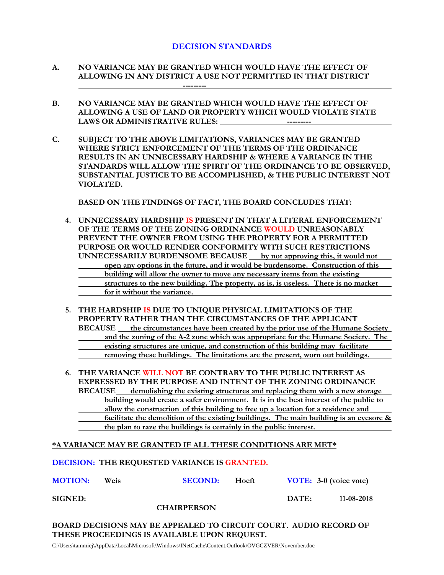### **DECISION STANDARDS**

- **A. NO VARIANCE MAY BE GRANTED WHICH WOULD HAVE THE EFFECT OF ALLOWING IN ANY DISTRICT A USE NOT PERMITTED IN THAT DISTRICT ---------**
- **B. NO VARIANCE MAY BE GRANTED WHICH WOULD HAVE THE EFFECT OF ALLOWING A USE OF LAND OR PROPERTY WHICH WOULD VIOLATE STATE LAWS OR ADMINISTRATIVE RULES:**
- **C. SUBJECT TO THE ABOVE LIMITATIONS, VARIANCES MAY BE GRANTED WHERE STRICT ENFORCEMENT OF THE TERMS OF THE ORDINANCE RESULTS IN AN UNNECESSARY HARDSHIP & WHERE A VARIANCE IN THE STANDARDS WILL ALLOW THE SPIRIT OF THE ORDINANCE TO BE OBSERVED, SUBSTANTIAL JUSTICE TO BE ACCOMPLISHED, & THE PUBLIC INTEREST NOT VIOLATED.**

**BASED ON THE FINDINGS OF FACT, THE BOARD CONCLUDES THAT:**

- **4. UNNECESSARY HARDSHIP IS PRESENT IN THAT A LITERAL ENFORCEMENT OF THE TERMS OF THE ZONING ORDINANCE WOULD UNREASONABLY PREVENT THE OWNER FROM USING THE PROPERTY FOR A PERMITTED PURPOSE OR WOULD RENDER CONFORMITY WITH SUCH RESTRICTIONS UNNECESSARILY BURDENSOME BECAUSE by not approving this, it would not open any options in the future, and it would be burdensome. Construction of this building will allow the owner to move any necessary items from the existing structures to the new building. The property, as is, is useless. There is no market for it without the variance.**
- **5. THE HARDSHIP IS DUE TO UNIQUE PHYSICAL LIMITATIONS OF THE PROPERTY RATHER THAN THE CIRCUMSTANCES OF THE APPLICANT BECAUSE the circumstances have been created by the prior use of the Humane Society and the zoning of the A-2 zone which was appropriate for the Humane Society. The existing structures are unique, and construction of this building may facilitate removing these buildings. The limitations are the present, worn out buildings.**
- **6. THE VARIANCE WILL NOT BE CONTRARY TO THE PUBLIC INTEREST AS EXPRESSED BY THE PURPOSE AND INTENT OF THE ZONING ORDINANCE BECAUSE demolishing the existing structures and replacing them with a new storage building would create a safer environment. It is in the best interest of the public to allow the construction of this building to free up a location for a residence and facilitate the demolition of the existing buildings. The main building is an eyesore & the plan to raze the buildings is certainly in the public interest.**

#### **\*A VARIANCE MAY BE GRANTED IF ALL THESE CONDITIONS ARE MET\***

|                |      | DECISION: THE REQUESTED VARIANCE IS GRANTED. |       |       |                        |  |
|----------------|------|----------------------------------------------|-------|-------|------------------------|--|
| <b>MOTION:</b> | Weis | <b>SECOND:</b>                               | Hoeft |       | VOTE: 3-0 (voice vote) |  |
| <b>SIGNED:</b> |      |                                              |       | DATE: | 11-08-2018             |  |
|                |      | <b>CHAIRPERSON</b>                           |       |       |                        |  |
|                |      |                                              |       |       |                        |  |

**BOARD DECISIONS MAY BE APPEALED TO CIRCUIT COURT. AUDIO RECORD OF THESE PROCEEDINGS IS AVAILABLE UPON REQUEST.**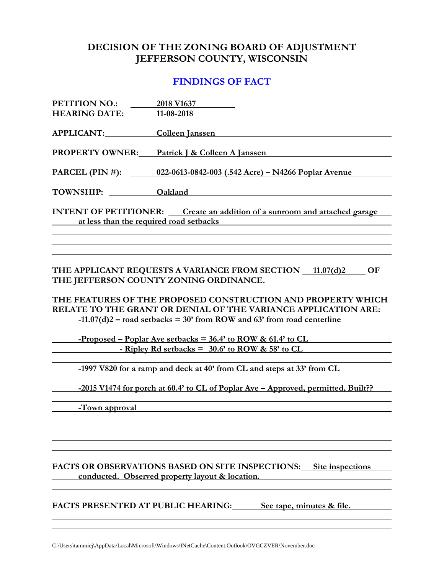## **DECISION OF THE ZONING BOARD OF ADJUSTMENT JEFFERSON COUNTY, WISCONSIN**

### **FINDINGS OF FACT**

| PETITION NO.: 2018 V1637                                                                                                                                  |                                                                     |  |
|-----------------------------------------------------------------------------------------------------------------------------------------------------------|---------------------------------------------------------------------|--|
| <b>HEARING DATE:</b>                                                                                                                                      | 11-08-2018                                                          |  |
| <b>APPLICANT:</b>                                                                                                                                         | <b>Colleen Janssen</b>                                              |  |
| <b>PROPERTY OWNER:</b>                                                                                                                                    | Patrick J & Colleen A Janssen                                       |  |
|                                                                                                                                                           | PARCEL (PIN #): 022-0613-0842-003 (.542 Acre) – N4266 Poplar Avenue |  |
| TOWNSHIP: Oakland                                                                                                                                         |                                                                     |  |
| <b>INTENT OF PETITIONER:</b> Create an addition of a sunroom and attached garage<br>at less than the required road setbacks<br>$\mathcal{L}(\mathcal{L})$ |                                                                     |  |
|                                                                                                                                                           |                                                                     |  |
|                                                                                                                                                           |                                                                     |  |
|                                                                                                                                                           |                                                                     |  |

**THE APPLICANT REQUESTS A VARIANCE FROM SECTION**  $\_$  **11.07(d)2**  $\_$  **OF THE JEFFERSON COUNTY ZONING ORDINANCE.**

**THE FEATURES OF THE PROPOSED CONSTRUCTION AND PROPERTY WHICH RELATE TO THE GRANT OR DENIAL OF THE VARIANCE APPLICATION ARE: -11.07(d)2 – road setbacks = 30' from ROW and 63' from road centerline**

**-Proposed – Poplar Ave setbacks = 36.4' to ROW & 61.4' to CL - Ripley Rd setbacks = 30.6' to ROW & 58' to CL**

**-1997 V820 for a ramp and deck at 40' from CL and steps at 33' from CL**

**-2015 V1474 for porch at 60.4' to CL of Poplar Ave – Approved, permitted, Built??**

**-Town approval**

**FACTS OR OBSERVATIONS BASED ON SITE INSPECTIONS: Site inspections conducted. Observed property layout & location.**

**FACTS PRESENTED AT PUBLIC HEARING: See tape, minutes & file.**

C:\Users\tammiej\AppData\Local\Microsoft\Windows\INetCache\Content.Outlook\OVGCZVER\November.doc